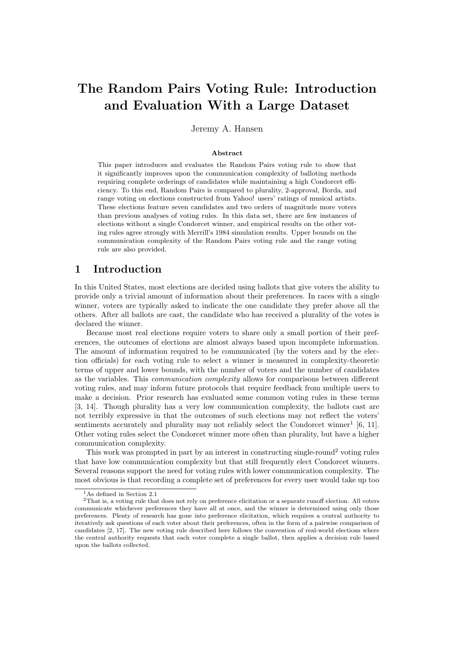# The Random Pairs Voting Rule: Introduction and Evaluation With a Large Dataset

Jeremy A. Hansen

#### Abstract

This paper introduces and evaluates the Random Pairs voting rule to show that it significantly improves upon the communication complexity of balloting methods requiring complete orderings of candidates while maintaining a high Condorcet efficiency. To this end, Random Pairs is compared to plurality, 2-approval, Borda, and range voting on elections constructed from Yahoo! users' ratings of musical artists. These elections feature seven candidates and two orders of magnitude more voters than previous analyses of voting rules. In this data set, there are few instances of elections without a single Condorcet winner, and empirical results on the other voting rules agree strongly with Merrill's 1984 simulation results. Upper bounds on the communication complexity of the Random Pairs voting rule and the range voting rule are also provided.

## 1 Introduction

In this United States, most elections are decided using ballots that give voters the ability to provide only a trivial amount of information about their preferences. In races with a single winner, voters are typically asked to indicate the one candidate they prefer above all the others. After all ballots are cast, the candidate who has received a plurality of the votes is declared the winner.

Because most real elections require voters to share only a small portion of their preferences, the outcomes of elections are almost always based upon incomplete information. The amount of information required to be communicated (by the voters and by the election officials) for each voting rule to select a winner is measured in complexity-theoretic terms of upper and lower bounds, with the number of voters and the number of candidates as the variables. This communication complexity allows for comparisons between different voting rules, and may inform future protocols that require feedback from multiple users to make a decision. Prior research has evaluated some common voting rules in these terms [3, 14]. Though plurality has a very low communication complexity, the ballots cast are not terribly expressive in that the outcomes of such elections may not reflect the voters' sentiments accurately and plurality may not reliably select the Condorcet winner<sup>1</sup> [6, 11]. Other voting rules select the Condorcet winner more often than plurality, but have a higher communication complexity.

This work was prompted in part by an interest in constructing single-round<sup>2</sup> voting rules that have low communication complexity but that still frequently elect Condorcet winners. Several reasons support the need for voting rules with lower communication complexity. The most obvious is that recording a complete set of preferences for every user would take up too

<sup>1</sup>As defined in Section 2.1

<sup>2</sup>That is, a voting rule that does not rely on preference elicitation or a separate runoff election. All voters communicate whichever preferences they have all at once, and the winner is determined using only those preferences. Plenty of research has gone into preference elicitation, which requires a central authority to iteratively ask questions of each voter about their preferences, often in the form of a pairwise comparison of candidates [2, 17]. The new voting rule described here follows the convention of real-world elections where the central authority requests that each voter complete a single ballot, then applies a decision rule based upon the ballots collected.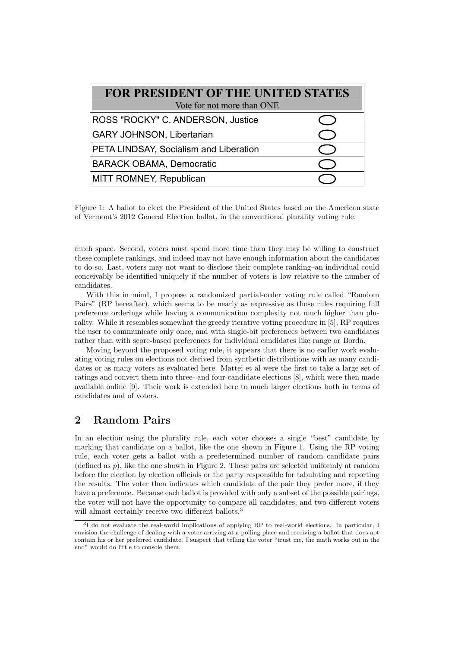| <b>FOR PRESIDENT OF THE UNITED STATES</b><br>Vote for not more than ONE |  |  |  |  |
|-------------------------------------------------------------------------|--|--|--|--|
| ROSS "ROCKY" C. ANDERSON, Justice                                       |  |  |  |  |
| <b>GARY JOHNSON, Libertarian</b>                                        |  |  |  |  |
| PETA LINDSAY, Socialism and Liberation                                  |  |  |  |  |
| <b>BARACK OBAMA, Democratic</b>                                         |  |  |  |  |
| MITT ROMNEY, Republican                                                 |  |  |  |  |

Figure 1: A ballot to elect the President of the United States based on the American state of Vermont's 2012 General Election ballot, in the conventional plurality voting rule.

much space. Second, voters must spend more time than they may be willing to construct these complete rankings, and indeed may not have enough information about the candidates to do so. Last, voters may not want to disclose their complete ranking–an individual could conceivably be identified uniquely if the number of voters is low relative to the number of candidates.

With this in mind, I propose a randomized partial-order voting rule called "Random Pairs" (RP hereafter), which seems to be nearly as expressive as those rules requiring full preference orderings while having a communication complexity not much higher than plurality. While it resembles somewhat the greedy iterative voting procedure in [5], RP requires the user to communicate only once, and with single-bit preferences between two candidates rather than with score-based preferences for individual candidates like range or Borda.

Moving beyond the proposed voting rule, it appears that there is no earlier work evaluating voting rules on elections not derived from synthetic distributions with as many candidates or as many voters as evaluated here. Mattei et al were the first to take a large set of ratings and convert them into three- and four-candidate elections [8], which were then made available online [9]. Their work is extended here to much larger elections both in terms of candidates and of voters.

# 2 Random Pairs

In an election using the plurality rule, each voter chooses a single "best" candidate by marking that candidate on a ballot, like the one shown in Figure 1. Using the RP voting rule, each voter gets a ballot with a predetermined number of random candidate pairs (defined as  $p$ ), like the one shown in Figure 2. These pairs are selected uniformly at random before the election by election officials or the party responsible for tabulating and reporting the results. The voter then indicates which candidate of the pair they prefer more, if they have a preference. Because each ballot is provided with only a subset of the possible pairings, the voter will not have the opportunity to compare all candidates, and two different voters will almost certainly receive two different ballots.<sup>3</sup>

<sup>&</sup>lt;sup>3</sup>I do not evaluate the real-world implications of applying RP to real-world elections. In particular, I envision the challenge of dealing with a voter arriving at a polling place and receiving a ballot that does not contain his or her preferred candidate. I suspect that telling the voter "trust me, the math works out in the end" would do little to console them.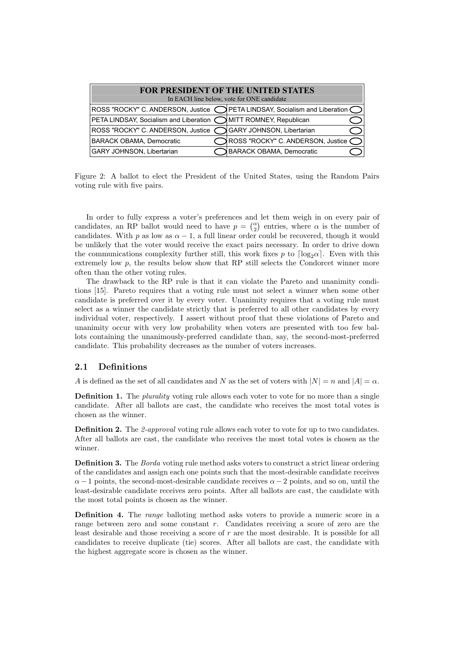| <b>FOR PRESIDENT OF THE UNITED STATES</b>                        |  |                                                                             |  |  |  |
|------------------------------------------------------------------|--|-----------------------------------------------------------------------------|--|--|--|
| In EACH line below, vote for ONE candidate                       |  |                                                                             |  |  |  |
|                                                                  |  | ROSS "ROCKY" C. ANDERSON, Justice OPETA LINDSAY, Socialism and Liberation C |  |  |  |
| PETA LINDSAY, Socialism and Liberation ◯ MITT ROMNEY, Republican |  |                                                                             |  |  |  |
| ROSS "ROCKY" C. ANDERSON, Justice C GARY JOHNSON, Libertarian    |  |                                                                             |  |  |  |
| BARACK OBAMA, Democratic                                         |  | ROSS "ROCKY" C. ANDERSON, Justice C                                         |  |  |  |
| GARY JOHNSON, Libertarian                                        |  | <b>BARACK OBAMA, Democratic</b>                                             |  |  |  |

Figure 2: A ballot to elect the President of the United States, using the Random Pairs voting rule with five pairs.

In order to fully express a voter's preferences and let them weigh in on every pair of candidates, an RP ballot would need to have  $p = \binom{\alpha}{2}$  entries, where  $\alpha$  is the number of candidates. With p as low as  $\alpha - 1$ , a full linear order could be recovered, though it would be unlikely that the voter would receive the exact pairs necessary. In order to drive down the communications complexity further still, this work fixes p to  $\lceil \log_2 \alpha \rceil$ . Even with this extremely low  $p$ , the results below show that RP still selects the Condorcet winner more often than the other voting rules.

The drawback to the RP rule is that it can violate the Pareto and unanimity conditions [15]. Pareto requires that a voting rule must not select a winner when some other candidate is preferred over it by every voter. Unanimity requires that a voting rule must select as a winner the candidate strictly that is preferred to all other candidates by every individual voter, respectively. I assert without proof that these violations of Pareto and unanimity occur with very low probability when voters are presented with too few ballots containing the unanimously-preferred candidate than, say, the second-most-preferred candidate. This probability decreases as the number of voters increases.

### 2.1 Definitions

A is defined as the set of all candidates and N as the set of voters with  $|N| = n$  and  $|A| = \alpha$ .

**Definition 1.** The *plurality* voting rule allows each voter to vote for no more than a single candidate. After all ballots are cast, the candidate who receives the most total votes is chosen as the winner.

Definition 2. The 2-approval voting rule allows each voter to vote for up to two candidates. After all ballots are cast, the candidate who receives the most total votes is chosen as the winner.

Definition 3. The Borda voting rule method asks voters to construct a strict linear ordering of the candidates and assign each one points such that the most-desirable candidate receives  $\alpha - 1$  points, the second-most-desirable candidate receives  $\alpha - 2$  points, and so on, until the least-desirable candidate receives zero points. After all ballots are cast, the candidate with the most total points is chosen as the winner.

**Definition 4.** The range balloting method asks voters to provide a numeric score in a range between zero and some constant r. Candidates receiving a score of zero are the least desirable and those receiving a score of  $r$  are the most desirable. It is possible for all candidates to receive duplicate (tie) scores. After all ballots are cast, the candidate with the highest aggregate score is chosen as the winner.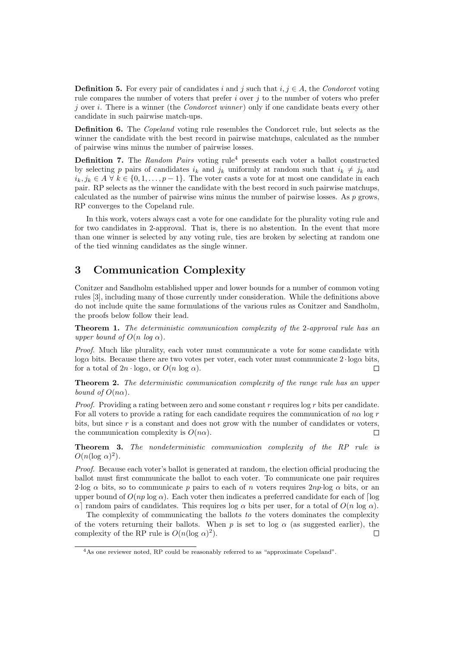**Definition 5.** For every pair of candidates i and j such that i,  $j \in A$ , the Condorcet voting rule compares the number of voters that prefer  $i$  over  $j$  to the number of voters who prefer j over i. There is a winner (the *Condorcet winner*) only if one candidate beats every other candidate in such pairwise match-ups.

Definition 6. The *Copeland* voting rule resembles the Condorcet rule, but selects as the winner the candidate with the best record in pairwise matchups, calculated as the number of pairwise wins minus the number of pairwise losses.

**Definition 7.** The Random Pairs voting rule<sup>4</sup> presents each voter a ballot constructed by selecting p pairs of candidates  $i_k$  and  $j_k$  uniformly at random such that  $i_k \neq j_k$  and  $i_k, j_k \in A \forall k \in \{0, 1, \ldots, p-1\}.$  The voter casts a vote for at most one candidate in each pair. RP selects as the winner the candidate with the best record in such pairwise matchups, calculated as the number of pairwise wins minus the number of pairwise losses. As  $p$  grows, RP converges to the Copeland rule.

In this work, voters always cast a vote for one candidate for the plurality voting rule and for two candidates in 2-approval. That is, there is no abstention. In the event that more than one winner is selected by any voting rule, ties are broken by selecting at random one of the tied winning candidates as the single winner.

# 3 Communication Complexity

Conitzer and Sandholm established upper and lower bounds for a number of common voting rules [3], including many of those currently under consideration. While the definitions above do not include quite the same formulations of the various rules as Conitzer and Sandholm, the proofs below follow their lead.

**Theorem 1.** The deterministic communication complexity of the 2-approval rule has an upper bound of  $O(n \log \alpha)$ .

Proof. Much like plurality, each voter must communicate a vote for some candidate with loga bits. Because there are two votes per voter, each voter must communicate  $2 \cdot \log \alpha$  bits, for a total of  $2n \cdot \log \alpha$ , or  $O(n \log \alpha)$ .  $\Box$ 

**Theorem 2.** The deterministic communication complexity of the range rule has an upper bound of  $O(n\alpha)$ .

*Proof.* Providing a rating between zero and some constant  $r$  requires log  $r$  bits per candidate. For all voters to provide a rating for each candidate requires the communication of  $n\alpha$  log r bits, but since r is a constant and does not grow with the number of candidates or voters, the communication complexity is  $O(n\alpha)$ .  $\Box$ 

**Theorem 3.** The nondeterministic communication complexity of the RP rule is  $O(n(\log \alpha)^2)$ .

Proof. Because each voter's ballot is generated at random, the election official producing the ballot must first communicate the ballot to each voter. To communicate one pair requires 2·log  $\alpha$  bits, so to communicate p pairs to each of n voters requires  $2np$ ·log  $\alpha$  bits, or an upper bound of  $O(np \log \alpha)$ . Each voter then indicates a preferred candidate for each of  $\log$  $\alpha$  random pairs of candidates. This requires log α bits per user, for a total of  $O(n \log \alpha)$ .

The complexity of communicating the ballots to the voters dominates the complexity of the voters returning their ballots. When p is set to log  $\alpha$  (as suggested earlier), the complexity of the RP rule is  $O(n(\log \alpha)^2)$ .  $\Box$ 

<sup>4</sup>As one reviewer noted, RP could be reasonably referred to as "approximate Copeland".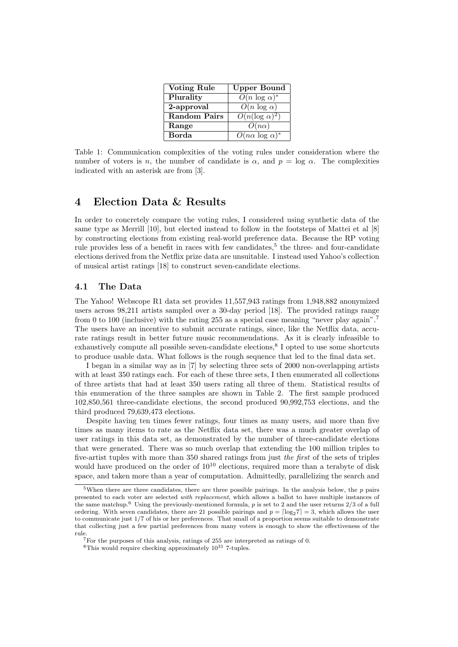| <b>Voting Rule</b>  | Upper Bound                           |
|---------------------|---------------------------------------|
| Plurality           | $O(n \log \alpha)^*$                  |
| 2-approval          | $O(n \log \alpha)$                    |
| <b>Random Pairs</b> | $O(n(\log \alpha)^2)$                 |
| Range               | $O(n\alpha)$                          |
| Borda               | $\overline{O(n\alpha \log \alpha)^*}$ |

Table 1: Communication complexities of the voting rules under consideration where the number of voters is n, the number of candidate is  $\alpha$ , and  $p = \log \alpha$ . The complexities indicated with an asterisk are from [3].

# 4 Election Data & Results

In order to concretely compare the voting rules, I considered using synthetic data of the same type as Merrill [10], but elected instead to follow in the footsteps of Mattei et al [8] by constructing elections from existing real-world preference data. Because the RP voting rule provides less of a benefit in races with few candidates,<sup>5</sup> the three- and four-candidate elections derived from the Netflix prize data are unsuitable. I instead used Yahoo's collection of musical artist ratings [18] to construct seven-candidate elections.

#### 4.1 The Data

The Yahoo! Webscope R1 data set provides 11,557,943 ratings from 1,948,882 anonymized users across 98,211 artists sampled over a 30-day period [18]. The provided ratings range from 0 to 100 (inclusive) with the rating 255 as a special case meaning "never play again".<sup>7</sup> The users have an incentive to submit accurate ratings, since, like the Netflix data, accurate ratings result in better future music recommendations. As it is clearly infeasible to exhaustively compute all possible seven-candidate elections,<sup>8</sup> I opted to use some shortcuts to produce usable data. What follows is the rough sequence that led to the final data set.

I began in a similar way as in [7] by selecting three sets of 2000 non-overlapping artists with at least 350 ratings each. For each of these three sets, I then enumerated all collections of three artists that had at least 350 users rating all three of them. Statistical results of this enumeration of the three samples are shown in Table 2. The first sample produced 102,850,561 three-candidate elections, the second produced 90,992,753 elections, and the third produced 79,639,473 elections.

Despite having ten times fewer ratings, four times as many users, and more than five times as many items to rate as the Netflix data set, there was a much greater overlap of user ratings in this data set, as demonstrated by the number of three-candidate elections that were generated. There was so much overlap that extending the 100 million triples to five-artist tuples with more than 350 shared ratings from just the first of the sets of triples would have produced on the order of  $10^{10}$  elections, required more than a terabyte of disk space, and taken more than a year of computation. Admittedly, parallelizing the search and

<sup>&</sup>lt;sup>5</sup>When there are three candidates, there are three possible pairings. In the analysis below, the  $p$  pairs presented to each voter are selected with replacement, which allows a ballot to have multiple instances of the same matchup.<sup>6</sup> Using the previously-mentioned formula,  $p$  is set to 2 and the user returns  $2/3$  of a full ordering. With seven candidates, there are 21 possible pairings and  $p = \lceil \log_2 7 \rceil = 3$ , which allows the user to communicate just 1/7 of his or her preferences. That small of a proportion seems suitable to demonstrate that collecting just a few partial preferences from many voters is enough to show the effectiveness of the rule.

<sup>7</sup>For the purposes of this analysis, ratings of 255 are interpreted as ratings of 0.

<sup>&</sup>lt;sup>8</sup>This would require checking approximately  $10^{31}$  7-tuples.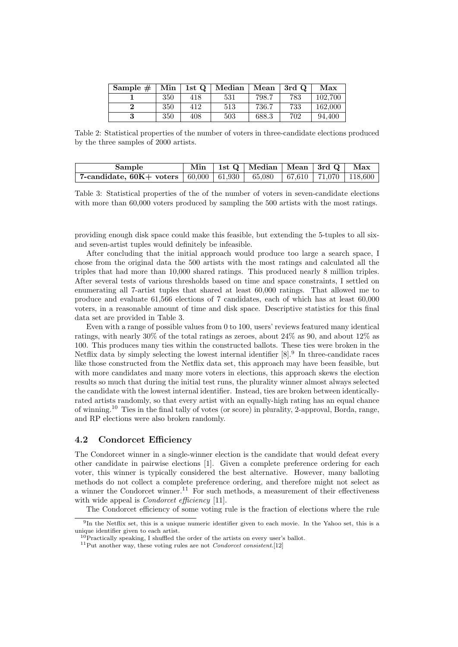| Sample $#$ | Min | 1st Q | Median | Mean  | 3rd Q | Max     |
|------------|-----|-------|--------|-------|-------|---------|
|            | 350 | 418   | 531    | 798.7 | 783   | 102.700 |
|            | 350 | 412   | 513    | 736.7 | 733   | 162.000 |
|            | 350 | 408   | 503    | 688.3 | 702   | 94.400  |

Table 2: Statistical properties of the number of voters in three-candidate elections produced by the three samples of 2000 artists.

| Sample                                                                                                            |  | Min   1st Q   Median   Mean   3rd Q   Max |  |  |
|-------------------------------------------------------------------------------------------------------------------|--|-------------------------------------------|--|--|
| 7-candidate, $60K + \text{ voters} \mid 60,000 \mid 61,930 \mid 65,080 \mid 67,610 \mid 71,070 \mid 118,600 \mid$ |  |                                           |  |  |

Table 3: Statistical properties of the of the number of voters in seven-candidate elections with more than 60,000 voters produced by sampling the 500 artists with the most ratings.

providing enough disk space could make this feasible, but extending the 5-tuples to all sixand seven-artist tuples would definitely be infeasible.

After concluding that the initial approach would produce too large a search space, I chose from the original data the 500 artists with the most ratings and calculated all the triples that had more than 10,000 shared ratings. This produced nearly 8 million triples. After several tests of various thresholds based on time and space constraints, I settled on enumerating all 7-artist tuples that shared at least 60,000 ratings. That allowed me to produce and evaluate 61,566 elections of 7 candidates, each of which has at least 60,000 voters, in a reasonable amount of time and disk space. Descriptive statistics for this final data set are provided in Table 3.

Even with a range of possible values from 0 to 100, users' reviews featured many identical ratings, with nearly 30% of the total ratings as zeroes, about 24% as 90, and about 12% as 100. This produces many ties within the constructed ballots. These ties were broken in the Netflix data by simply selecting the lowest internal identifier [8].<sup>9</sup> In three-candidate races like those constructed from the Netflix data set, this approach may have been feasible, but with more candidates and many more voters in elections, this approach skews the election results so much that during the initial test runs, the plurality winner almost always selected the candidate with the lowest internal identifier. Instead, ties are broken between identicallyrated artists randomly, so that every artist with an equally-high rating has an equal chance of winning.<sup>10</sup> Ties in the final tally of votes (or score) in plurality, 2-approval, Borda, range, and RP elections were also broken randomly.

#### 4.2 Condorcet Efficiency

The Condorcet winner in a single-winner election is the candidate that would defeat every other candidate in pairwise elections [1]. Given a complete preference ordering for each voter, this winner is typically considered the best alternative. However, many balloting methods do not collect a complete preference ordering, and therefore might not select as a winner the Condorcet winner.<sup>11</sup> For such methods, a measurement of their effectiveness with wide appeal is *Condorcet efficiency* [11].

The Condorcet efficiency of some voting rule is the fraction of elections where the rule

<sup>&</sup>lt;sup>9</sup>In the Netflix set, this is a unique numeric identifier given to each movie. In the Yahoo set, this is a unique identifier given to each artist.

 $10$ Practically speaking. I shuffled the order of the artists on every user's ballot.

<sup>&</sup>lt;sup>11</sup>Put another way, these voting rules are not *Condorcet consistent*.[12]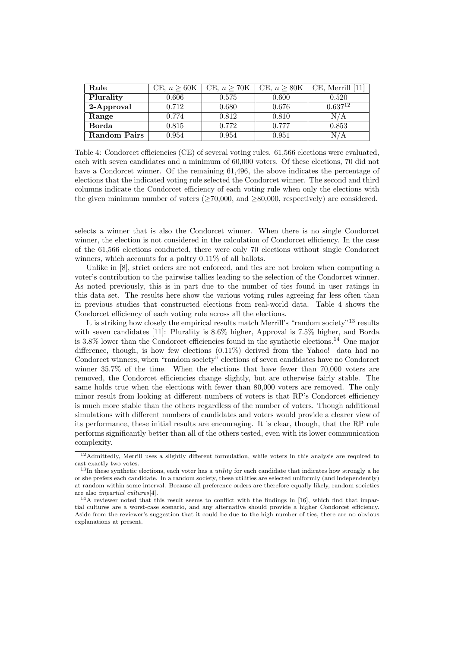| Rule         | CE, $n > 60K$ | CE, $n > 70K$ | CE, $n \geq 80K$ | $CE$ , Merrill [11] |
|--------------|---------------|---------------|------------------|---------------------|
| Plurality    | 0.606         | 0.575         | 0.600            | 0.520               |
| 2-Approval   | 0.712         | 0.680         | 0.676            | $0.637^{12}$        |
| Range        | 0.774         | 0.812         | 0.810            | N / A               |
| Borda        | 0.815         | 0.772         | 0.777            | 0.853               |
| Random Pairs | 0.954         | 0.954         | 0.951            |                     |

Table 4: Condorcet efficiencies (CE) of several voting rules. 61,566 elections were evaluated, each with seven candidates and a minimum of 60,000 voters. Of these elections, 70 did not have a Condorcet winner. Of the remaining 61,496, the above indicates the percentage of elections that the indicated voting rule selected the Condorcet winner. The second and third columns indicate the Condorcet efficiency of each voting rule when only the elections with the given minimum number of voters  $($ >70,000, and >80,000, respectively) are considered.

selects a winner that is also the Condorcet winner. When there is no single Condorcet winner, the election is not considered in the calculation of Condorcet efficiency. In the case of the 61,566 elections conducted, there were only 70 elections without single Condorcet winners, which accounts for a paltry 0.11% of all ballots.

Unlike in  $[8]$ , strict orders are not enforced, and ties are not broken when computing a voter's contribution to the pairwise tallies leading to the selection of the Condorcet winner. As noted previously, this is in part due to the number of ties found in user ratings in this data set. The results here show the various voting rules agreeing far less often than in previous studies that constructed elections from real-world data. Table 4 shows the Condorcet efficiency of each voting rule across all the elections.

It is striking how closely the empirical results match Merrill's "random society"<sup>13</sup> results with seven candidates [11]: Plurality is 8.6% higher, Approval is 7.5% higher, and Borda is 3.8% lower than the Condorcet efficiencies found in the synthetic elections.<sup>14</sup> One major difference, though, is how few elections (0.11%) derived from the Yahoo! data had no Condorcet winners, when "random society" elections of seven candidates have no Condorcet winner 35.7% of the time. When the elections that have fewer than 70,000 voters are removed, the Condorcet efficiencies change slightly, but are otherwise fairly stable. The same holds true when the elections with fewer than 80,000 voters are removed. The only minor result from looking at different numbers of voters is that RP's Condorcet efficiency is much more stable than the others regardless of the number of voters. Though additional simulations with different numbers of candidates and voters would provide a clearer view of its performance, these initial results are encouraging. It is clear, though, that the RP rule performs significantly better than all of the others tested, even with its lower communication complexity.

<sup>12</sup>Admittedly, Merrill uses a slightly different formulation, while voters in this analysis are required to cast exactly two votes.

 $13$ In these synthetic elections, each voter has a *utility* for each candidate that indicates how strongly a he or she prefers each candidate. In a random society, these utilities are selected uniformly (and independently) at random within some interval. Because all preference orders are therefore equally likely, random societies are also impartial cultures[4].

<sup>14</sup>A reviewer noted that this result seems to conflict with the findings in [16], which find that impartial cultures are a worst-case scenario, and any alternative should provide a higher Condorcet efficiency. Aside from the reviewer's suggestion that it could be due to the high number of ties, there are no obvious explanations at present.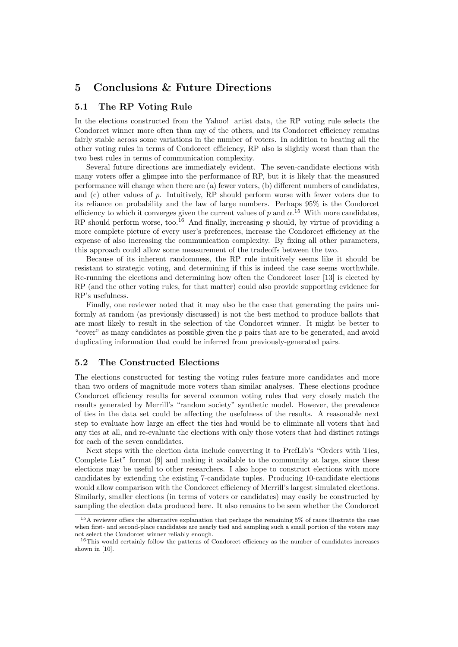# 5 Conclusions & Future Directions

### 5.1 The RP Voting Rule

In the elections constructed from the Yahoo! artist data, the RP voting rule selects the Condorcet winner more often than any of the others, and its Condorcet efficiency remains fairly stable across some variations in the number of voters. In addition to beating all the other voting rules in terms of Condorcet efficiency, RP also is slightly worst than than the two best rules in terms of communication complexity.

Several future directions are immediately evident. The seven-candidate elections with many voters offer a glimpse into the performance of RP, but it is likely that the measured performance will change when there are (a) fewer voters, (b) different numbers of candidates, and  $(c)$  other values of  $p$ . Intuitively, RP should perform worse with fewer voters due to its reliance on probability and the law of large numbers. Perhaps 95% is the Condorcet efficiency to which it converges given the current values of p and  $\alpha$ .<sup>15</sup> With more candidates, RP should perform worse, too.<sup>16</sup> And finally, increasing  $p$  should, by virtue of providing a more complete picture of every user's preferences, increase the Condorcet efficiency at the expense of also increasing the communication complexity. By fixing all other parameters, this approach could allow some measurement of the tradeoffs between the two.

Because of its inherent randomness, the RP rule intuitively seems like it should be resistant to strategic voting, and determining if this is indeed the case seems worthwhile. Re-running the elections and determining how often the Condorcet loser [13] is elected by RP (and the other voting rules, for that matter) could also provide supporting evidence for RP's usefulness.

Finally, one reviewer noted that it may also be the case that generating the pairs uniformly at random (as previously discussed) is not the best method to produce ballots that are most likely to result in the selection of the Condorcet winner. It might be better to "cover" as many candidates as possible given the  $p$  pairs that are to be generated, and avoid duplicating information that could be inferred from previously-generated pairs.

#### 5.2 The Constructed Elections

The elections constructed for testing the voting rules feature more candidates and more than two orders of magnitude more voters than similar analyses. These elections produce Condorcet efficiency results for several common voting rules that very closely match the results generated by Merrill's "random society" synthetic model. However, the prevalence of ties in the data set could be affecting the usefulness of the results. A reasonable next step to evaluate how large an effect the ties had would be to eliminate all voters that had any ties at all, and re-evaluate the elections with only those voters that had distinct ratings for each of the seven candidates.

Next steps with the election data include converting it to PrefLib's "Orders with Ties, Complete List" format [9] and making it available to the community at large, since these elections may be useful to other researchers. I also hope to construct elections with more candidates by extending the existing 7-candidate tuples. Producing 10-candidate elections would allow comparison with the Condorcet efficiency of Merrill's largest simulated elections. Similarly, smaller elections (in terms of voters or candidates) may easily be constructed by sampling the election data produced here. It also remains to be seen whether the Condorcet

<sup>15</sup>A reviewer offers the alternative explanation that perhaps the remaining 5% of races illustrate the case when first- and second-place candidates are nearly tied and sampling such a small portion of the voters may not select the Condorcet winner reliably enough.

<sup>16</sup>This would certainly follow the patterns of Condorcet efficiency as the number of candidates increases shown in [10].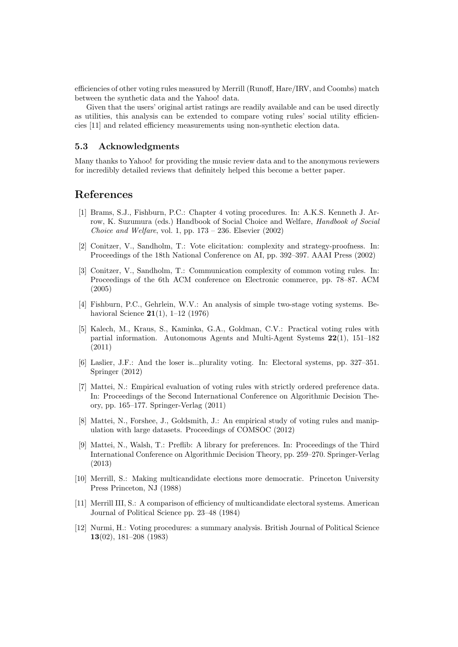efficiencies of other voting rules measured by Merrill (Runoff, Hare/IRV, and Coombs) match between the synthetic data and the Yahoo! data.

Given that the users' original artist ratings are readily available and can be used directly as utilities, this analysis can be extended to compare voting rules' social utility efficiencies [11] and related efficiency measurements using non-synthetic election data.

#### 5.3 Acknowledgments

Many thanks to Yahoo! for providing the music review data and to the anonymous reviewers for incredibly detailed reviews that definitely helped this become a better paper.

### References

- [1] Brams, S.J., Fishburn, P.C.: Chapter 4 voting procedures. In: A.K.S. Kenneth J. Arrow, K. Suzumura (eds.) Handbook of Social Choice and Welfare, Handbook of Social Choice and Welfare, vol. 1, pp.  $173 - 236$ . Elsevier  $(2002)$
- [2] Conitzer, V., Sandholm, T.: Vote elicitation: complexity and strategy-proofness. In: Proceedings of the 18th National Conference on AI, pp. 392–397. AAAI Press (2002)
- [3] Conitzer, V., Sandholm, T.: Communication complexity of common voting rules. In: Proceedings of the 6th ACM conference on Electronic commerce, pp. 78–87. ACM (2005)
- [4] Fishburn, P.C., Gehrlein, W.V.: An analysis of simple two-stage voting systems. Behavioral Science 21(1), 1–12 (1976)
- [5] Kalech, M., Kraus, S., Kaminka, G.A., Goldman, C.V.: Practical voting rules with partial information. Autonomous Agents and Multi-Agent Systems 22(1), 151–182 (2011)
- [6] Laslier, J.F.: And the loser is...plurality voting. In: Electoral systems, pp. 327–351. Springer (2012)
- [7] Mattei, N.: Empirical evaluation of voting rules with strictly ordered preference data. In: Proceedings of the Second International Conference on Algorithmic Decision Theory, pp. 165–177. Springer-Verlag (2011)
- [8] Mattei, N., Forshee, J., Goldsmith, J.: An empirical study of voting rules and manipulation with large datasets. Proceedings of COMSOC (2012)
- [9] Mattei, N., Walsh, T.: Preflib: A library for preferences. In: Proceedings of the Third International Conference on Algorithmic Decision Theory, pp. 259–270. Springer-Verlag (2013)
- [10] Merrill, S.: Making multicandidate elections more democratic. Princeton University Press Princeton, NJ (1988)
- [11] Merrill III, S.: A comparison of efficiency of multicandidate electoral systems. American Journal of Political Science pp. 23–48 (1984)
- [12] Nurmi, H.: Voting procedures: a summary analysis. British Journal of Political Science 13(02), 181–208 (1983)